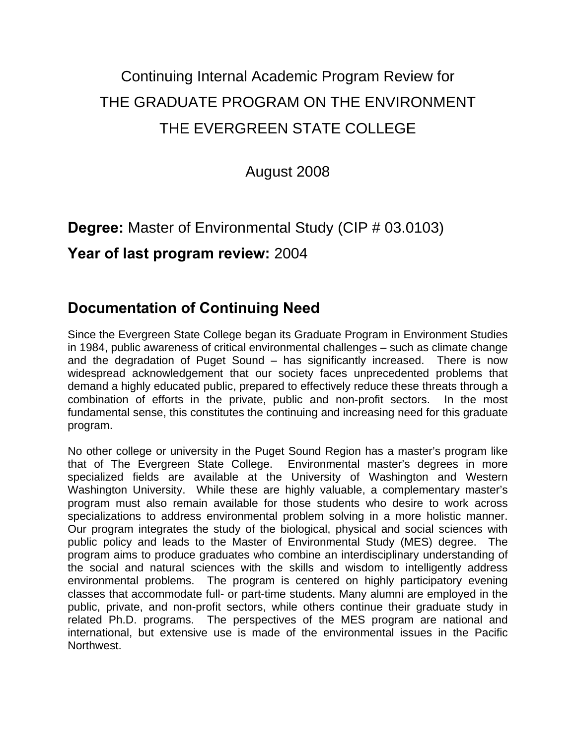# Continuing Internal Academic Program Review for THE GRADUATE PROGRAM ON THE ENVIRONMENT THE EVERGREEN STATE COLLEGE

August 2008

## **Degree:** Master of Environmental Study (CIP # 03.0103)

### **Year of last program review:** 2004

# **Documentation of Continuing Need**

Since the Evergreen State College began its Graduate Program in Environment Studies in 1984, public awareness of critical environmental challenges – such as climate change and the degradation of Puget Sound – has significantly increased. There is now widespread acknowledgement that our society faces unprecedented problems that demand a highly educated public, prepared to effectively reduce these threats through a combination of efforts in the private, public and non-profit sectors. In the most fundamental sense, this constitutes the continuing and increasing need for this graduate program.

No other college or university in the Puget Sound Region has a master's program like that of The Evergreen State College. Environmental master's degrees in more specialized fields are available at the University of Washington and Western Washington University. While these are highly valuable, a complementary master's program must also remain available for those students who desire to work across specializations to address environmental problem solving in a more holistic manner. Our program integrates the study of the biological, physical and social sciences with public policy and leads to the Master of Environmental Study (MES) degree. The program aims to produce graduates who combine an interdisciplinary understanding of the social and natural sciences with the skills and wisdom to intelligently address environmental problems. The program is centered on highly participatory evening classes that accommodate full- or part-time students. Many alumni are employed in the public, private, and non-profit sectors, while others continue their graduate study in related Ph.D. programs. The perspectives of the MES program are national and international, but extensive use is made of the environmental issues in the Pacific Northwest.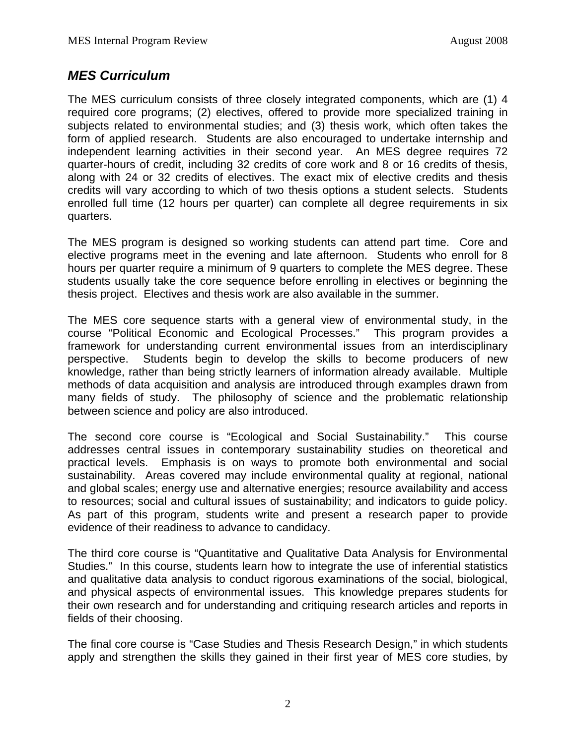### *MES Curriculum*

The MES curriculum consists of three closely integrated components, which are (1) 4 required core programs; (2) electives, offered to provide more specialized training in subjects related to environmental studies; and (3) thesis work, which often takes the form of applied research. Students are also encouraged to undertake internship and independent learning activities in their second year. An MES degree requires 72 quarter-hours of credit, including 32 credits of core work and 8 or 16 credits of thesis, along with 24 or 32 credits of electives. The exact mix of elective credits and thesis credits will vary according to which of two thesis options a student selects. Students enrolled full time (12 hours per quarter) can complete all degree requirements in six quarters.

The MES program is designed so working students can attend part time. Core and elective programs meet in the evening and late afternoon. Students who enroll for 8 hours per quarter require a minimum of 9 quarters to complete the MES degree. These students usually take the core sequence before enrolling in electives or beginning the thesis project. Electives and thesis work are also available in the summer.

The MES core sequence starts with a general view of environmental study, in the course "Political Economic and Ecological Processes." This program provides a framework for understanding current environmental issues from an interdisciplinary perspective. Students begin to develop the skills to become producers of new knowledge, rather than being strictly learners of information already available. Multiple methods of data acquisition and analysis are introduced through examples drawn from many fields of study. The philosophy of science and the problematic relationship between science and policy are also introduced.

The second core course is "Ecological and Social Sustainability." This course addresses central issues in contemporary sustainability studies on theoretical and practical levels. Emphasis is on ways to promote both environmental and social sustainability. Areas covered may include environmental quality at regional, national and global scales; energy use and alternative energies; resource availability and access to resources; social and cultural issues of sustainability; and indicators to guide policy. As part of this program, students write and present a research paper to provide evidence of their readiness to advance to candidacy.

The third core course is "Quantitative and Qualitative Data Analysis for Environmental Studies." In this course, students learn how to integrate the use of inferential statistics and qualitative data analysis to conduct rigorous examinations of the social, biological, and physical aspects of environmental issues. This knowledge prepares students for their own research and for understanding and critiquing research articles and reports in fields of their choosing.

The final core course is "Case Studies and Thesis Research Design," in which students apply and strengthen the skills they gained in their first year of MES core studies, by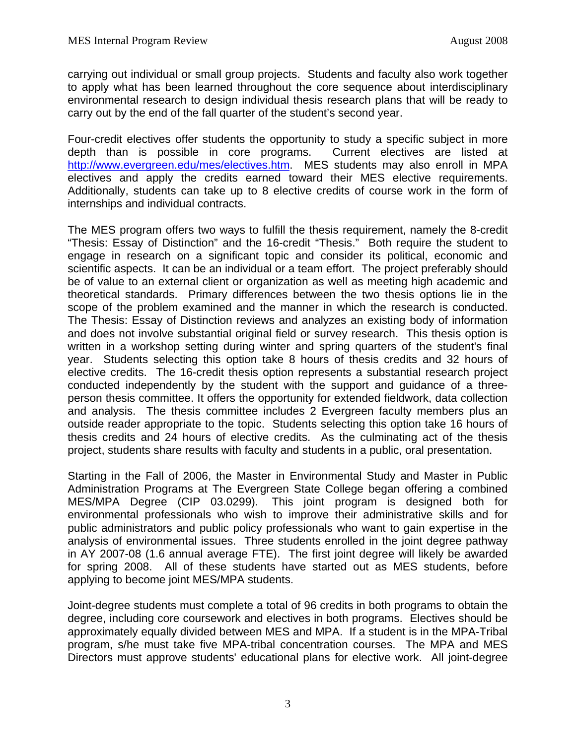carrying out individual or small group projects. Students and faculty also work together to apply what has been learned throughout the core sequence about interdisciplinary environmental research to design individual thesis research plans that will be ready to carry out by the end of the fall quarter of the student's second year.

Four-credit electives offer students the opportunity to study a specific subject in more depth than is possible in core programs. Current electives are listed at <http://www.evergreen.edu/mes/electives.htm>. MES students may also enroll in MPA electives and apply the credits earned toward their MES elective requirements. Additionally, students can take up to 8 elective credits of course work in the form of internships and individual contracts.

The MES program offers two ways to fulfill the thesis requirement, namely the 8-credit "Thesis: Essay of Distinction" and the 16-credit "Thesis." Both require the student to engage in research on a significant topic and consider its political, economic and scientific aspects. It can be an individual or a team effort. The project preferably should be of value to an external client or organization as well as meeting high academic and theoretical standards. Primary differences between the two thesis options lie in the scope of the problem examined and the manner in which the research is conducted. The Thesis: Essay of Distinction reviews and analyzes an existing body of information and does not involve substantial original field or survey research. This thesis option is written in a workshop setting during winter and spring quarters of the student's final year. Students selecting this option take 8 hours of thesis credits and 32 hours of elective credits. The 16-credit thesis option represents a substantial research project conducted independently by the student with the support and guidance of a threeperson thesis committee. It offers the opportunity for extended fieldwork, data collection and analysis. The thesis committee includes 2 Evergreen faculty members plus an outside reader appropriate to the topic. Students selecting this option take 16 hours of thesis credits and 24 hours of elective credits. As the culminating act of the thesis project, students share results with faculty and students in a public, oral presentation.

Starting in the Fall of 2006, the Master in Environmental Study and Master in Public Administration Programs at The Evergreen State College began offering a combined MES/MPA Degree (CIP 03.0299). This joint program is designed both for environmental professionals who wish to improve their administrative skills and for public administrators and public policy professionals who want to gain expertise in the analysis of environmental issues. Three students enrolled in the joint degree pathway in AY 2007-08 (1.6 annual average FTE). The first joint degree will likely be awarded for spring 2008. All of these students have started out as MES students, before applying to become joint MES/MPA students.

Joint-degree students must complete a total of 96 credits in both programs to obtain the degree, including core coursework and electives in both programs. Electives should be approximately equally divided between MES and MPA. If a student is in the MPA-Tribal program, s/he must take five MPA-tribal concentration courses. The MPA and MES Directors must approve students' educational plans for elective work. All joint-degree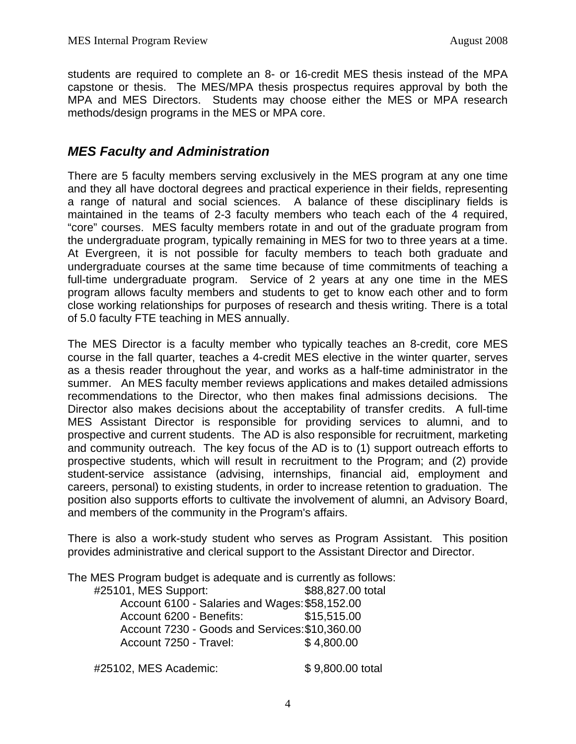students are required to complete an 8- or 16-credit MES thesis instead of the MPA capstone or thesis. The MES/MPA thesis prospectus requires approval by both the MPA and MES Directors. Students may choose either the MES or MPA research methods/design programs in the MES or MPA core.

### *MES Faculty and Administration*

There are 5 faculty members serving exclusively in the MES program at any one time and they all have doctoral degrees and practical experience in their fields, representing a range of natural and social sciences. A balance of these disciplinary fields is maintained in the teams of 2-3 faculty members who teach each of the 4 required, "core" courses. MES faculty members rotate in and out of the graduate program from the undergraduate program, typically remaining in MES for two to three years at a time. At Evergreen, it is not possible for faculty members to teach both graduate and undergraduate courses at the same time because of time commitments of teaching a full-time undergraduate program. Service of 2 years at any one time in the MES program allows faculty members and students to get to know each other and to form close working relationships for purposes of research and thesis writing. There is a total of 5.0 faculty FTE teaching in MES annually.

The MES Director is a faculty member who typically teaches an 8-credit, core MES course in the fall quarter, teaches a 4-credit MES elective in the winter quarter, serves as a thesis reader throughout the year, and works as a half-time administrator in the summer. An MES faculty member reviews applications and makes detailed admissions recommendations to the Director, who then makes final admissions decisions. The Director also makes decisions about the acceptability of transfer credits. A full-time MES Assistant Director is responsible for providing services to alumni, and to prospective and current students. The AD is also responsible for recruitment, marketing and community outreach. The key focus of the AD is to (1) support outreach efforts to prospective students, which will result in recruitment to the Program; and (2) provide student-service assistance (advising, internships, financial aid, employment and careers, personal) to existing students, in order to increase retention to graduation. The position also supports efforts to cultivate the involvement of alumni, an Advisory Board, and members of the community in the Program's affairs.

There is also a work-study student who serves as Program Assistant. This position provides administrative and clerical support to the Assistant Director and Director.

The MES Program budget is adequate and is currently as follows:

| \$88,827.00 total                              |
|------------------------------------------------|
| Account 6100 - Salaries and Wages: \$58,152.00 |
| \$15,515.00                                    |
| Account 7230 - Goods and Services: \$10,360.00 |
| \$4,800.00                                     |
|                                                |

#25102, MES Academic: \$ 9,800.00 total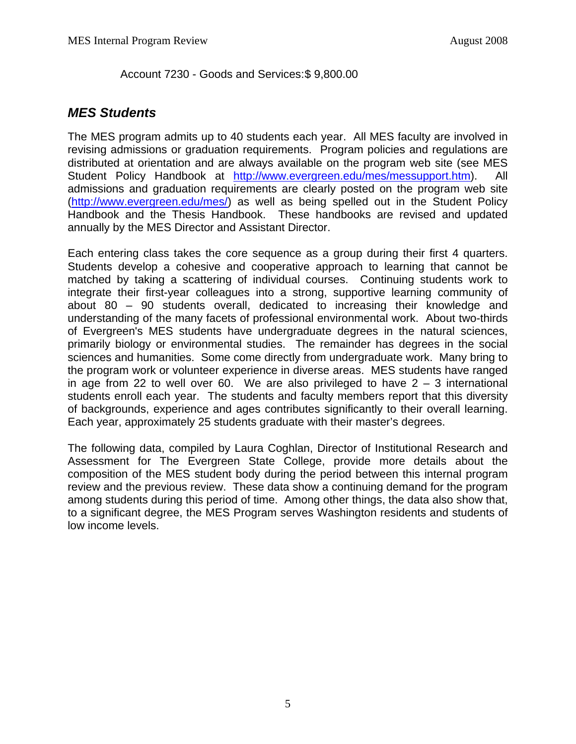Account 7230 - Goods and Services: \$ 9,800.00

### *MES Students*

The MES program admits up to 40 students each year. All MES faculty are involved in revising admissions or graduation requirements. Program policies and regulations are distributed at orientation and are always available on the program web site (see MES Student Policy Handbook at <http://www.evergreen.edu/mes/messupport.htm>). All admissions and graduation requirements are clearly posted on the program web site (<http://www.evergreen.edu/mes/>) as well as being spelled out in the Student Policy Handbook and the Thesis Handbook. These handbooks are revised and updated annually by the MES Director and Assistant Director.

Each entering class takes the core sequence as a group during their first 4 quarters. Students develop a cohesive and cooperative approach to learning that cannot be matched by taking a scattering of individual courses. Continuing students work to integrate their first-year colleagues into a strong, supportive learning community of about 80 – 90 students overall, dedicated to increasing their knowledge and understanding of the many facets of professional environmental work. About two-thirds of Evergreen's MES students have undergraduate degrees in the natural sciences, primarily biology or environmental studies. The remainder has degrees in the social sciences and humanities. Some come directly from undergraduate work. Many bring to the program work or volunteer experience in diverse areas. MES students have ranged in age from 22 to well over 60. We are also privileged to have  $2 - 3$  international students enroll each year. The students and faculty members report that this diversity of backgrounds, experience and ages contributes significantly to their overall learning. Each year, approximately 25 students graduate with their master's degrees.

The following data, compiled by Laura Coghlan, Director of Institutional Research and Assessment for The Evergreen State College, provide more details about the composition of the MES student body during the period between this internal program review and the previous review. These data show a continuing demand for the program among students during this period of time. Among other things, the data also show that, to a significant degree, the MES Program serves Washington residents and students of low income levels.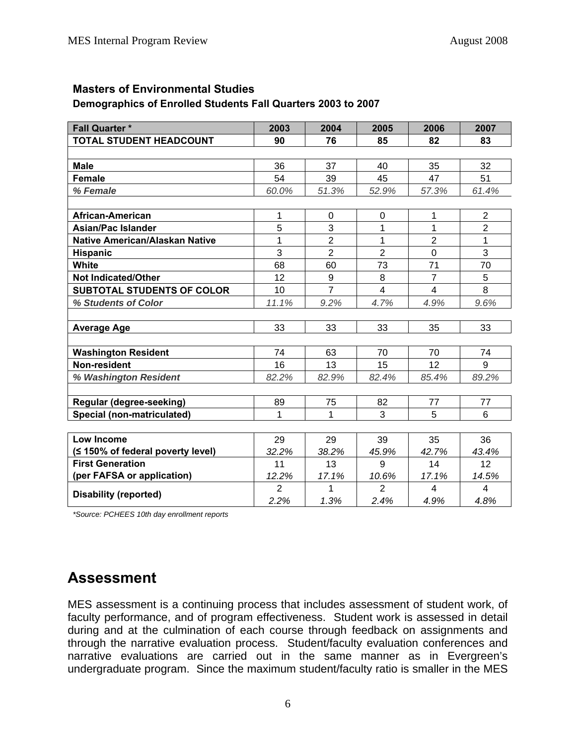#### **Masters of Environmental Studies**

#### **Demographics of Enrolled Students Fall Quarters 2003 to 2007**

| <b>Fall Quarter *</b>                 | 2003           | 2004           | 2005           | 2006                    | 2007                    |
|---------------------------------------|----------------|----------------|----------------|-------------------------|-------------------------|
| <b>TOTAL STUDENT HEADCOUNT</b>        | 90             | 76             | 85             | 82                      | 83                      |
|                                       |                |                |                |                         |                         |
| <b>Male</b>                           | 36             | 37             | 40             | 35                      | 32                      |
| <b>Female</b>                         | 54             | 39             | 45             | 47                      | 51                      |
| % Female                              | 60.0%          | 51.3%          | 52.9%          | 57.3%                   | 61.4%                   |
|                                       |                |                |                |                         |                         |
| African-American                      | 1              | $\mathbf 0$    | $\overline{0}$ | 1                       | $\overline{2}$          |
| <b>Asian/Pac Islander</b>             | 5              | 3              | 1              | 1                       | $\overline{2}$          |
| <b>Native American/Alaskan Native</b> | $\mathbf{1}$   | $\overline{2}$ | 1              | $\overline{2}$          | $\overline{1}$          |
| <b>Hispanic</b>                       | 3              | $\overline{2}$ | $\overline{2}$ | $\mathbf 0$             | 3                       |
| White                                 | 68             | 60             | 73             | 71                      | 70                      |
| <b>Not Indicated/Other</b>            | 12             | 9              | 8              | $\overline{7}$          | 5                       |
| <b>SUBTOTAL STUDENTS OF COLOR</b>     | 10             | $\overline{7}$ | $\overline{4}$ | $\overline{\mathbf{4}}$ | 8                       |
| % Students of Color                   | 11.1%          | 9.2%           | 4.7%           | 4.9%                    | 9.6%                    |
|                                       |                |                |                |                         |                         |
| <b>Average Age</b>                    | 33             | 33             | 33             | 35                      | 33                      |
|                                       |                |                |                |                         |                         |
| <b>Washington Resident</b>            | 74             | 63             | 70             | 70                      | 74                      |
| Non-resident                          | 16             | 13             | 15             | 12                      | 9                       |
| % Washington Resident                 | 82.2%          | 82.9%          | 82.4%          | 85.4%                   | 89.2%                   |
|                                       |                |                |                |                         |                         |
| Regular (degree-seeking)              | 89             | 75             | 82             | 77                      | 77                      |
| Special (non-matriculated)            | 1              | 1              | 3              | 5                       | 6                       |
|                                       |                |                |                |                         |                         |
| <b>Low Income</b>                     | 29             | 29             | 39             | 35                      | 36                      |
| (≤ 150% of federal poverty level)     | 32.2%          | 38.2%          | 45.9%          | 42.7%                   | 43.4%                   |
| <b>First Generation</b>               | 11             | 13             | 9              | 14                      | 12                      |
| (per FAFSA or application)            | 12.2%          | 17.1%          | 10.6%          | 17.1%                   | 14.5%                   |
|                                       | $\overline{2}$ | 1              | 2              | 4                       | $\overline{\mathbf{4}}$ |
| <b>Disability (reported)</b>          | 2.2%           | 1.3%           | 2.4%           | 4.9%                    | 4.8%                    |

*\*Source: PCHEES 10th day enrollment reports* 

# **Assessment**

MES assessment is a continuing process that includes assessment of student work, of faculty performance, and of program effectiveness. Student work is assessed in detail during and at the culmination of each course through feedback on assignments and through the narrative evaluation process. Student/faculty evaluation conferences and narrative evaluations are carried out in the same manner as in Evergreen's undergraduate program. Since the maximum student/faculty ratio is smaller in the MES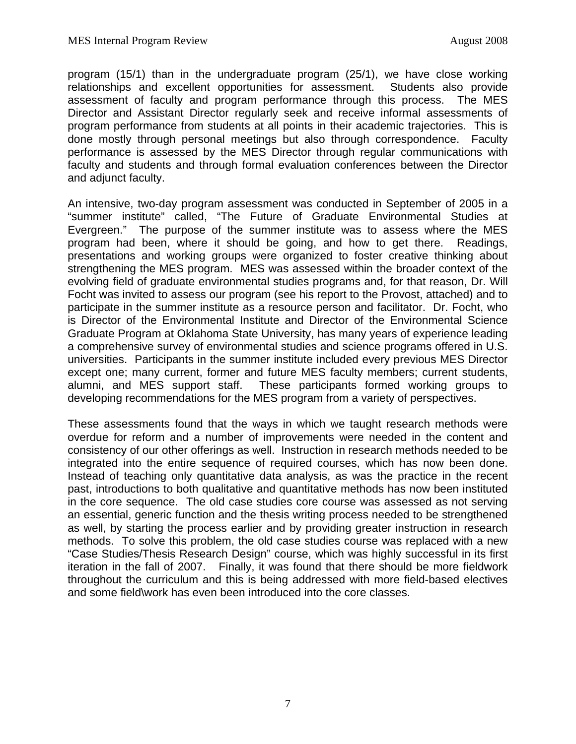program (15/1) than in the undergraduate program (25/1), we have close working relationships and excellent opportunities for assessment. Students also provide assessment of faculty and program performance through this process. The MES Director and Assistant Director regularly seek and receive informal assessments of program performance from students at all points in their academic trajectories. This is done mostly through personal meetings but also through correspondence. Faculty performance is assessed by the MES Director through regular communications with faculty and students and through formal evaluation conferences between the Director and adjunct faculty.

An intensive, two-day program assessment was conducted in September of 2005 in a "summer institute" called, "The Future of Graduate Environmental Studies at Evergreen." The purpose of the summer institute was to assess where the MES program had been, where it should be going, and how to get there. Readings, presentations and working groups were organized to foster creative thinking about strengthening the MES program. MES was assessed within the broader context of the evolving field of graduate environmental studies programs and, for that reason, Dr. Will Focht was invited to assess our program (see his report to the Provost, attached) and to participate in the summer institute as a resource person and facilitator. Dr. Focht, who is Director of the Environmental Institute and Director of the Environmental Science Graduate Program at Oklahoma State University, has many years of experience leading a comprehensive survey of environmental studies and science programs offered in U.S. universities. Participants in the summer institute included every previous MES Director except one; many current, former and future MES faculty members; current students, alumni, and MES support staff. These participants formed working groups to developing recommendations for the MES program from a variety of perspectives.

These assessments found that the ways in which we taught research methods were overdue for reform and a number of improvements were needed in the content and consistency of our other offerings as well. Instruction in research methods needed to be integrated into the entire sequence of required courses, which has now been done. Instead of teaching only quantitative data analysis, as was the practice in the recent past, introductions to both qualitative and quantitative methods has now been instituted in the core sequence. The old case studies core course was assessed as not serving an essential, generic function and the thesis writing process needed to be strengthened as well, by starting the process earlier and by providing greater instruction in research methods. To solve this problem, the old case studies course was replaced with a new "Case Studies/Thesis Research Design" course, which was highly successful in its first iteration in the fall of 2007. Finally, it was found that there should be more fieldwork throughout the curriculum and this is being addressed with more field-based electives and some field\work has even been introduced into the core classes.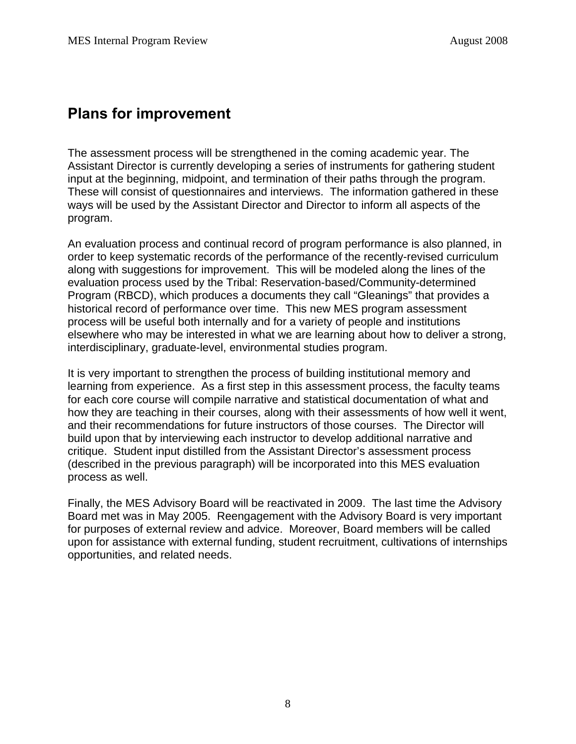### **Plans for improvement**

The assessment process will be strengthened in the coming academic year. The Assistant Director is currently developing a series of instruments for gathering student input at the beginning, midpoint, and termination of their paths through the program. These will consist of questionnaires and interviews. The information gathered in these ways will be used by the Assistant Director and Director to inform all aspects of the program.

An evaluation process and continual record of program performance is also planned, in order to keep systematic records of the performance of the recently-revised curriculum along with suggestions for improvement. This will be modeled along the lines of the evaluation process used by the Tribal: Reservation-based/Community-determined Program (RBCD), which produces a documents they call "Gleanings" that provides a historical record of performance over time. This new MES program assessment process will be useful both internally and for a variety of people and institutions elsewhere who may be interested in what we are learning about how to deliver a strong, interdisciplinary, graduate-level, environmental studies program.

It is very important to strengthen the process of building institutional memory and learning from experience. As a first step in this assessment process, the faculty teams for each core course will compile narrative and statistical documentation of what and how they are teaching in their courses, along with their assessments of how well it went, and their recommendations for future instructors of those courses. The Director will build upon that by interviewing each instructor to develop additional narrative and critique. Student input distilled from the Assistant Director's assessment process (described in the previous paragraph) will be incorporated into this MES evaluation process as well.

Finally, the MES Advisory Board will be reactivated in 2009. The last time the Advisory Board met was in May 2005. Reengagement with the Advisory Board is very important for purposes of external review and advice. Moreover, Board members will be called upon for assistance with external funding, student recruitment, cultivations of internships opportunities, and related needs.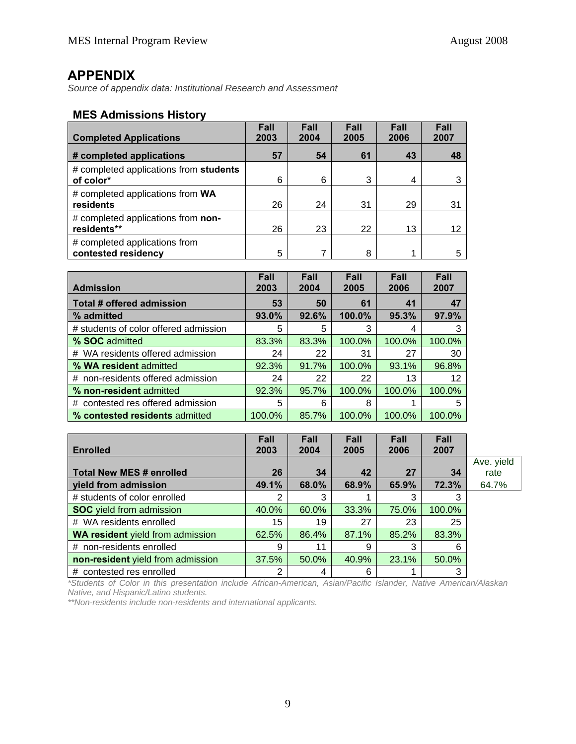### **APPENDIX**

*Source of appendix data: Institutional Research and Assessment* 

#### **MES Admissions History**

| <b>Completed Applications</b>                        | Fall<br>2003 | Fall<br>2004 | Fall<br>2005 | <b>Fall</b><br>2006 | Fall<br>2007 |
|------------------------------------------------------|--------------|--------------|--------------|---------------------|--------------|
| # completed applications                             | 57           | 54           | 61           | 43                  | 48           |
| # completed applications from students<br>of color*  | 6            | 6            | 3            | 4                   |              |
| # completed applications from WA<br>residents        | 26           | 24           | 31           | 29                  | 31           |
| # completed applications from non-<br>residents**    | 26           | 23           | 22           | 13                  | 12           |
| # completed applications from<br>contested residency | 5            | 7            | 8            |                     |              |

|                                       | Fall   | <b>Fall</b> | Fall   | Fall   | Fall   |
|---------------------------------------|--------|-------------|--------|--------|--------|
| <b>Admission</b>                      | 2003   | 2004        | 2005   | 2006   | 2007   |
| Total # offered admission             | 53     | 50          | 61     | 41     | 47     |
| % admitted                            | 93.0%  | 92.6%       | 100.0% | 95.3%  | 97.9%  |
| # students of color offered admission | 5      | 5           | 3      | 4      | 3      |
| % SOC admitted                        | 83.3%  | 83.3%       | 100.0% | 100.0% | 100.0% |
| # WA residents offered admission      | 24     | 22          | 31     | 27     | 30     |
| % WA resident admitted                | 92.3%  | 91.7%       | 100.0% | 93.1%  | 96.8%  |
| # non-residents offered admission     | 24     | 22          | 22     | 13     | 12     |
| % non-resident admitted               | 92.3%  | 95.7%       | 100.0% | 100.0% | 100.0% |
| contested res offered admission<br>#  | 5      | 6           | 8      |        | 5      |
| % contested residents admitted        | 100.0% | 85.7%       | 100.0% | 100.0% | 100.0% |

|                                         | Fall  | Fall  | Fall  | Fall  | Fall   |            |
|-----------------------------------------|-------|-------|-------|-------|--------|------------|
| <b>Enrolled</b>                         | 2003  | 2004  | 2005  | 2006  | 2007   |            |
|                                         |       |       |       |       |        | Ave. yield |
| <b>Total New MES # enrolled</b>         | 26    | 34    | 42    | 27    | 34     | rate       |
| yield from admission                    | 49.1% | 68.0% | 68.9% | 65.9% | 72.3%  | 64.7%      |
| # students of color enrolled            | 2     | 3     |       |       | 3      |            |
| <b>SOC</b> yield from admission         | 40.0% | 60.0% | 33.3% | 75.0% | 100.0% |            |
| # WA residents enrolled                 | 15    | 19    | 27    | 23    | 25     |            |
| <b>WA resident</b> yield from admission | 62.5% | 86.4% | 87.1% | 85.2% | 83.3%  |            |
| # non-residents enrolled                | 9     | 11    | 9     | 3     | 6      |            |
| non-resident yield from admission       | 37.5% | 50.0% | 40.9% | 23.1% | 50.0%  |            |
| # contested res enrolled                | ⌒     | 4     | 6     |       | 3      |            |

*\*Students of Color in this presentation include African-American, Asian/Pacific Islander, Native American/Alaskan Native, and Hispanic/Latino students.* 

*\*\*Non-residents include non-residents and international applicants.*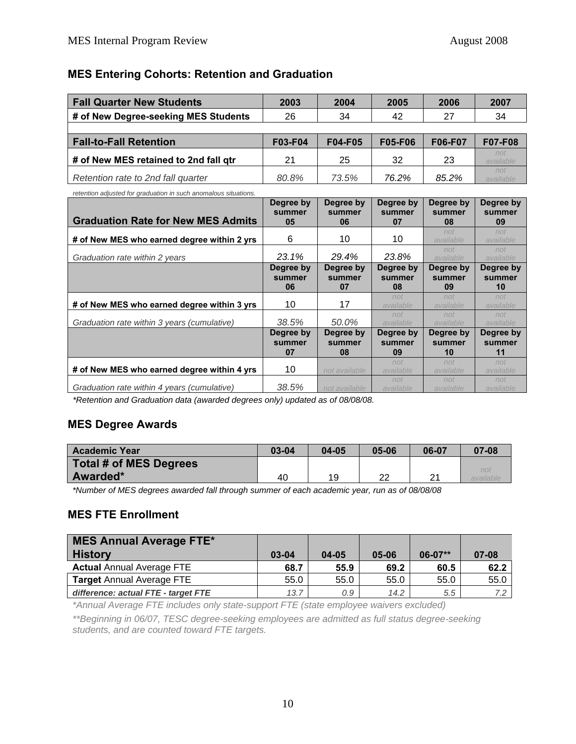### **MES Entering Cohorts: Retention and Graduation**

| <b>Fall Quarter New Students</b>                                | 2003                      | 2004                      | 2005                      | 2006                      | 2007                      |
|-----------------------------------------------------------------|---------------------------|---------------------------|---------------------------|---------------------------|---------------------------|
| # of New Degree-seeking MES Students                            | 26                        | 34                        | 42                        | 27                        | 34                        |
|                                                                 |                           |                           |                           |                           |                           |
| <b>Fall-to-Fall Retention</b>                                   | <b>F03-F04</b>            | <b>F04-F05</b>            | <b>F05-F06</b>            | F06-F07                   | F07-F08                   |
| # of New MES retained to 2nd fall gtr                           | 21                        | 25                        | 32                        | 23                        | not<br>available          |
| Retention rate to 2nd fall quarter                              | 80.8%                     | 73.5%                     | 76.2%                     | 85.2%                     | not<br>available          |
| retention adjusted for graduation in such anomalous situations. |                           |                           |                           |                           |                           |
| <b>Graduation Rate for New MES Admits</b>                       | Degree by<br>summer<br>05 | Dearee by<br>summer<br>06 | Degree by<br>summer<br>07 | Degree by<br>summer<br>08 | Degree by<br>summer<br>09 |
| # of New MES who earned degree within 2 yrs                     | 6                         | 10                        | 10                        | not<br>available          | not<br>available          |

| # of New MES who earned degree within 2 yrs | 6                         | 10                        | 10                        | available                 | available                 |
|---------------------------------------------|---------------------------|---------------------------|---------------------------|---------------------------|---------------------------|
| Graduation rate within 2 years              | 23.1%                     | 29.4%                     | 23.8%                     | not<br>available          | not<br>available          |
|                                             | Degree by<br>summer<br>06 | Degree by<br>summer<br>07 | Degree by<br>summer<br>08 | Degree by<br>summer<br>09 | Degree by<br>summer<br>10 |
| # of New MES who earned degree within 3 yrs | 10                        | 17                        | not<br>available          | not<br>available          | not<br>available          |
| Graduation rate within 3 years (cumulative) | 38.5%                     | 50.0%                     | not<br>available          | not<br>available          | not<br>available          |
|                                             | Degree by<br>summer<br>07 | Degree by<br>summer<br>08 | Degree by<br>summer<br>09 | Degree by<br>summer<br>10 | Degree by<br>summer<br>11 |
| # of New MES who earned degree within 4 yrs | 10                        | not available             | not<br>available          | not<br>available          | not<br>available          |
| Graduation rate within 4 years (cumulative) | 38.5%                     | not available             | not<br>available          | not<br>available          | not<br>available          |

*\*Retention and Graduation data (awarded degrees only) updated as of 08/08/08.* 

### **MES Degree Awards**

| <b>Academic Year</b>          | 03-04 | 04-05 | 05-06    | 06-07          | 07-08 |
|-------------------------------|-------|-------|----------|----------------|-------|
| <b>Total # of MES Degrees</b> |       |       |          |                |       |
| Awarded*                      | 40    | 19    | າາ<br>∠∠ | つ1<br><u>.</u> | noi   |

*\*Number of MES degrees awarded fall through summer of each academic year, run as of 08/08/08* 

#### **MES FTE Enrollment**

| MES Annual Average FTE*<br><b>History</b> | 03-04 | $04 - 05$ | 05-06 | $06-07**$ | $07 - 08$ |
|-------------------------------------------|-------|-----------|-------|-----------|-----------|
| <b>Actual Annual Average FTE</b>          | 68.7  | 55.9      | 69.2  | 60.5      | 62.2      |
| <b>Target Annual Average FTE</b>          | 55.0  | 55.0      | 55.0  | 55.0      | 55.0      |
| difference: actual FTE - target FTE       | 13.7  | 0.9       | 14.2  | 5.5       | 7.2       |

*\*Annual Average FTE includes only state-support FTE (state employee waivers excluded)* 

*\*\*Beginning in 06/07, TESC degree-seeking employees are admitted as full status degree-seeking students, and are counted toward FTE targets.*